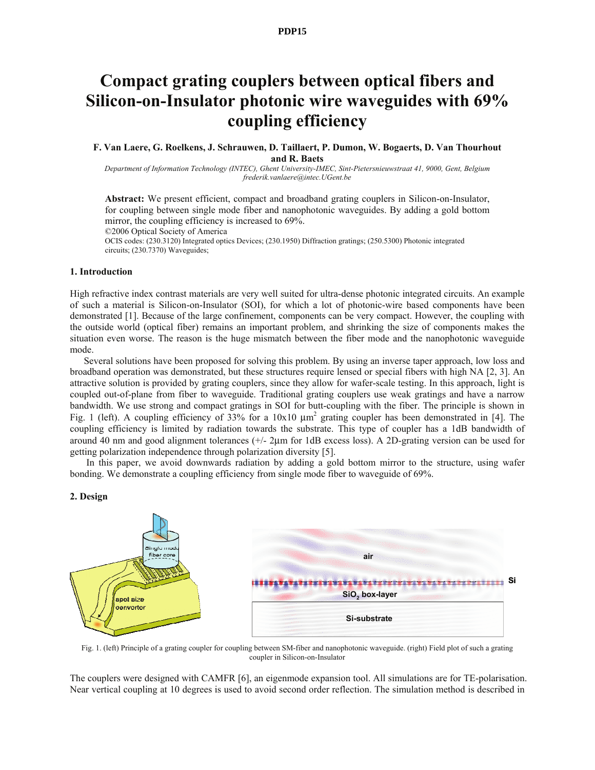#### **PDP15**

# **Compact grating couplers between optical fibers and Silicon-on-Insulator photonic wire waveguides with 69% coupling efficiency**

#### **F. Van Laere, G. Roelkens, J. Schrauwen, D. Taillaert, P. Dumon, W. Bogaerts, D. Van Thourhout and R. Baets**

*Department of Information Technology (INTEC), Ghent University-IMEC, Sint-Pietersnieuwstraat 41, 9000, Gent, Belgium frederik.vanlaere@intec.UGent.be* 

**Abstract:** We present efficient, compact and broadband grating couplers in Silicon-on-Insulator, for coupling between single mode fiber and nanophotonic waveguides. By adding a gold bottom mirror, the coupling efficiency is increased to 69%. ©2006 Optical Society of America

OCIS codes: (230.3120) Integrated optics Devices; (230.1950) Diffraction gratings; (250.5300) Photonic integrated circuits; (230.7370) Waveguides;

## **1. Introduction**

High refractive index contrast materials are very well suited for ultra-dense photonic integrated circuits. An example of such a material is Silicon-on-Insulator (SOI), for which a lot of photonic-wire based components have been demonstrated [1]. Because of the large confinement, components can be very compact. However, the coupling with the outside world (optical fiber) remains an important problem, and shrinking the size of components makes the situation even worse. The reason is the huge mismatch between the fiber mode and the nanophotonic waveguide mode.

Several solutions have been proposed for solving this problem. By using an inverse taper approach, low loss and broadband operation was demonstrated, but these structures require lensed or special fibers with high NA [2, 3]. An attractive solution is provided by grating couplers, since they allow for wafer-scale testing. In this approach, light is coupled out-of-plane from fiber to waveguide. Traditional grating couplers use weak gratings and have a narrow bandwidth. We use strong and compact gratings in SOI for butt-coupling with the fiber. The principle is shown in Fig. 1 (left). A coupling efficiency of 33% for a  $10x10 \mu m^2$  grating coupler has been demonstrated in [4]. The coupling efficiency is limited by radiation towards the substrate. This type of coupler has a 1dB bandwidth of around 40 nm and good alignment tolerances (+/- 2μm for 1dB excess loss). A 2D-grating version can be used for getting polarization independence through polarization diversity [5].

 In this paper, we avoid downwards radiation by adding a gold bottom mirror to the structure, using wafer bonding. We demonstrate a coupling efficiency from single mode fiber to waveguide of 69%.

# **2. Design**



Fig. 1. (left) Principle of a grating coupler for coupling between SM-fiber and nanophotonic waveguide. (right) Field plot of such a grating coupler in Silicon-on-Insulator

The couplers were designed with CAMFR [6], an eigenmode expansion tool. All simulations are for TE-polarisation. Near vertical coupling at 10 degrees is used to avoid second order reflection. The simulation method is described in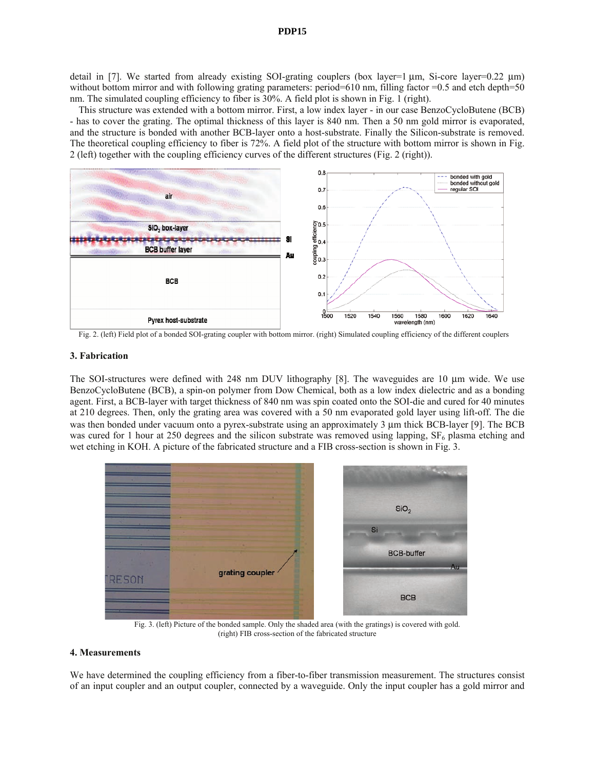# **PDP15**

detail in [7]. We started from already existing SOI-grating couplers (box layer=1 μm, Si-core layer=0.22 μm) without bottom mirror and with following grating parameters: period=610 nm, filling factor =0.5 and etch depth=50 nm. The simulated coupling efficiency to fiber is 30%. A field plot is shown in Fig. 1 (right).

This structure was extended with a bottom mirror. First, a low index layer - in our case BenzoCycloButene (BCB) - has to cover the grating. The optimal thickness of this layer is 840 nm. Then a 50 nm gold mirror is evaporated, and the structure is bonded with another BCB-layer onto a host-substrate. Finally the Silicon-substrate is removed. The theoretical coupling efficiency to fiber is 72%. A field plot of the structure with bottom mirror is shown in Fig. 2 (left) together with the coupling efficiency curves of the different structures (Fig. 2 (right)).



Fig. 2. (left) Field plot of a bonded SOI-grating coupler with bottom mirror. (right) Simulated coupling efficiency of the different couplers

#### **3. Fabrication**

The SOI-structures were defined with 248 nm DUV lithography [8]. The waveguides are 10 μm wide. We use BenzoCycloButene (BCB), a spin-on polymer from Dow Chemical, both as a low index dielectric and as a bonding agent. First, a BCB-layer with target thickness of 840 nm was spin coated onto the SOI-die and cured for 40 minutes at 210 degrees. Then, only the grating area was covered with a 50 nm evaporated gold layer using lift-off. The die was then bonded under vacuum onto a pyrex-substrate using an approximately 3 μm thick BCB-layer [9]. The BCB was cured for 1 hour at 250 degrees and the silicon substrate was removed using lapping,  $SF<sub>6</sub>$  plasma etching and wet etching in KOH. A picture of the fabricated structure and a FIB cross-section is shown in Fig. 3.



 Fig. 3. (left) Picture of the bonded sample. Only the shaded area (with the gratings) is covered with gold. (right) FIB cross-section of the fabricated structure

## **4. Measurements**

We have determined the coupling efficiency from a fiber-to-fiber transmission measurement. The structures consist of an input coupler and an output coupler, connected by a waveguide. Only the input coupler has a gold mirror and